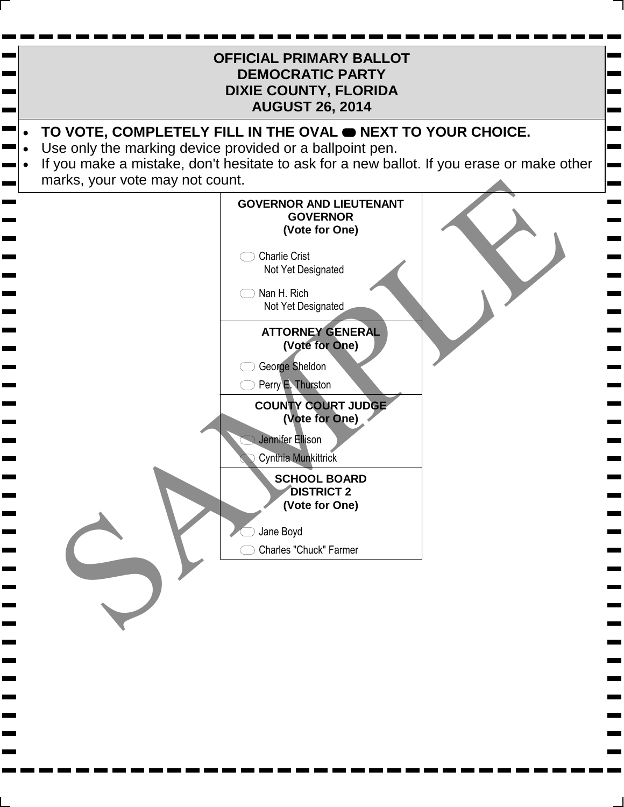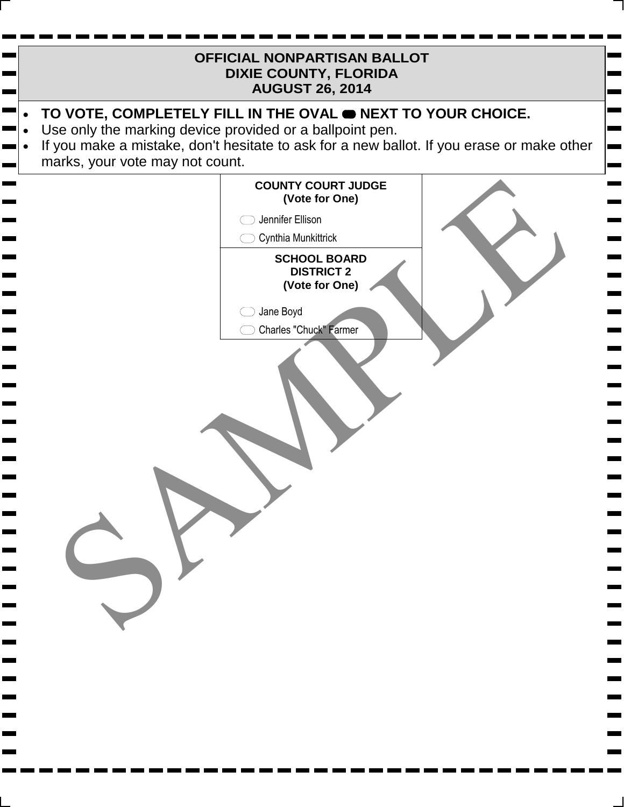